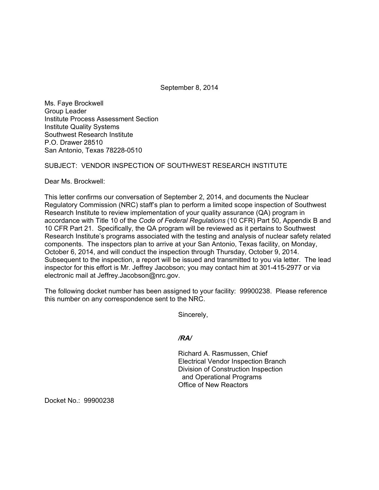September 8, 2014

Ms. Faye Brockwell Group Leader Institute Process Assessment Section Institute Quality Systems Southwest Research Institute P.O. Drawer 28510 San Antonio, Texas 78228-0510

# SUBJECT: VENDOR INSPECTION OF SOUTHWEST RESEARCH INSTITUTE

Dear Ms. Brockwell:

This letter confirms our conversation of September 2, 2014, and documents the Nuclear Regulatory Commission (NRC) staff's plan to perform a limited scope inspection of Southwest Research Institute to review implementation of your quality assurance (QA) program in accordance with Title 10 of the *Code of Federal Regulations* (10 CFR) Part 50, Appendix B and 10 CFR Part 21. Specifically, the QA program will be reviewed as it pertains to Southwest Research Institute's programs associated with the testing and analysis of nuclear safety related components. The inspectors plan to arrive at your San Antonio, Texas facility, on Monday, October 6, 2014, and will conduct the inspection through Thursday, October 9, 2014. Subsequent to the inspection, a report will be issued and transmitted to you via letter. The lead inspector for this effort is Mr. Jeffrey Jacobson; you may contact him at 301-415-2977 or via electronic mail at Jeffrey.Jacobson@nrc.gov.

The following docket number has been assigned to your facility: 99900238. Please reference this number on any correspondence sent to the NRC.

Sincerely,

*/RA/* 

Richard A. Rasmussen, Chief Electrical Vendor Inspection Branch Division of Construction Inspection and Operational Programs Office of New Reactors

Docket No.: 99900238